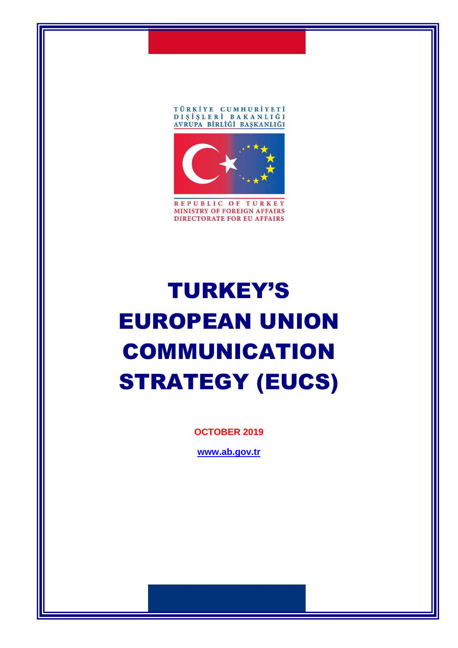



REPUBLIC OF TURKEY MINISTRY OF FOREIGN AFFAIRS **DIRECTORATE FOR EU AFFAIRS** 

# TURKEY'S EUROPEAN UNION COMMUNICATION STRATEGY (EUCS)

**OCTOBER 2019**

**[www.ab.gov.tr](http://www.ab.gov.tr/)**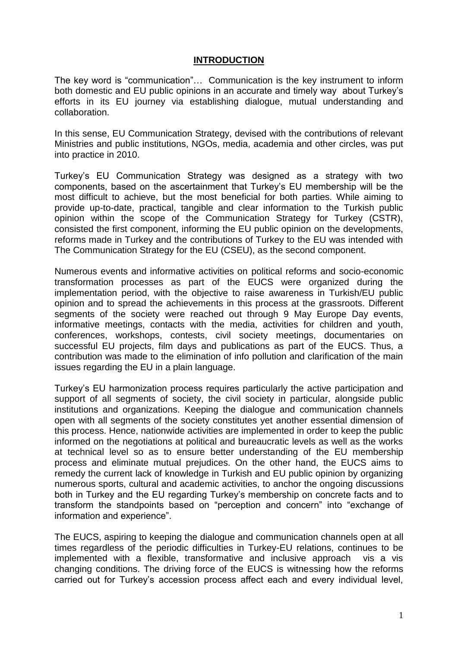#### **INTRODUCTION**

The key word is "communication"… Communication is the key instrument to inform both domestic and EU public opinions in an accurate and timely way about Turkey's efforts in its EU journey via establishing dialogue, mutual understanding and collaboration.

In this sense, EU Communication Strategy, devised with the contributions of relevant Ministries and public institutions, NGOs, media, academia and other circles, was put into practice in 2010.

Turkey's EU Communication Strategy was designed as a strategy with two components, based on the ascertainment that Turkey's EU membership will be the most difficult to achieve, but the most beneficial for both parties. While aiming to provide up-to-date, practical, tangible and clear information to the Turkish public opinion within the scope of the Communication Strategy for Turkey (CSTR), consisted the first component, informing the EU public opinion on the developments, reforms made in Turkey and the contributions of Turkey to the EU was intended with The Communication Strategy for the EU (CSEU), as the second component.

Numerous events and informative activities on political reforms and socio-economic transformation processes as part of the EUCS were organized during the implementation period, with the objective to raise awareness in Turkish/EU public opinion and to spread the achievements in this process at the grassroots. Different segments of the society were reached out through 9 May Europe Day events, informative meetings, contacts with the media, activities for children and youth, conferences, workshops, contests, civil society meetings, documentaries on successful EU projects, film days and publications as part of the EUCS. Thus, a contribution was made to the elimination of info pollution and clarification of the main issues regarding the EU in a plain language.

Turkey's EU harmonization process requires particularly the active participation and support of all segments of society, the civil society in particular, alongside public institutions and organizations. Keeping the dialogue and communication channels open with all segments of the society constitutes yet another essential dimension of this process. Hence, nationwide activities are implemented in order to keep the public informed on the negotiations at political and bureaucratic levels as well as the works at technical level so as to ensure better understanding of the EU membership process and eliminate mutual prejudices. On the other hand, the EUCS aims to remedy the current lack of knowledge in Turkish and EU public opinion by organizing numerous sports, cultural and academic activities, to anchor the ongoing discussions both in Turkey and the EU regarding Turkey's membership on concrete facts and to transform the standpoints based on "perception and concern" into "exchange of information and experience".

The EUCS, aspiring to keeping the dialogue and communication channels open at all times regardless of the periodic difficulties in Turkey-EU relations, continues to be implemented with a flexible, transformative and inclusive approach vis a vis changing conditions. The driving force of the EUCS is witnessing how the reforms carried out for Turkey's accession process affect each and every individual level,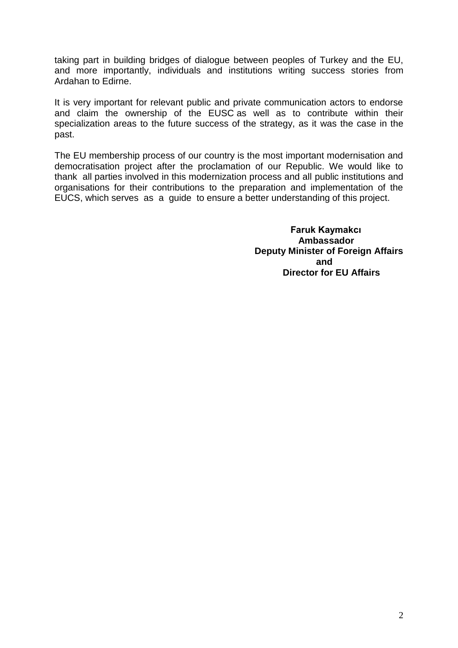taking part in building bridges of dialogue between peoples of Turkey and the EU, and more importantly, individuals and institutions writing success stories from Ardahan to Edirne.

It is very important for relevant public and private communication actors to endorse and claim the ownership of the EUSC as well as to contribute within their specialization areas to the future success of the strategy, as it was the case in the past.

The EU membership process of our country is the most important modernisation and democratisation project after the proclamation of our Republic. We would like to thank all parties involved in this modernization process and all public institutions and organisations for their contributions to the preparation and implementation of the EUCS, which serves as a guide to ensure a better understanding of this project.

 **Faruk Kaymakcı Ambassador Deputy Minister of Foreign Affairs and Director for EU Affairs**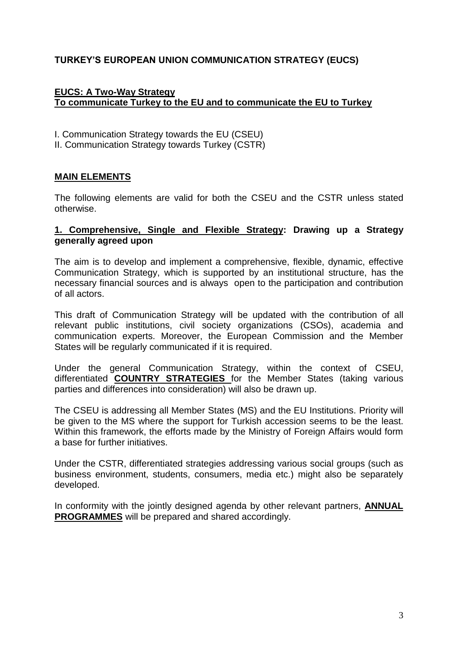## **TURKEY'S EUROPEAN UNION COMMUNICATION STRATEGY (EUCS)**

#### **EUCS: A Two-Way Strategy To communicate Turkey to the EU and to communicate the EU to Turkey**

- I. Communication Strategy towards the EU (CSEU)
- II. Communication Strategy towards Turkey (CSTR)

## **MAIN ELEMENTS**

The following elements are valid for both the CSEU and the CSTR unless stated otherwise.

#### **1. Comprehensive, Single and Flexible Strategy: Drawing up a Strategy generally agreed upon**

The aim is to develop and implement a comprehensive, flexible, dynamic, effective Communication Strategy, which is supported by an institutional structure, has the necessary financial sources and is always open to the participation and contribution of all actors.

This draft of Communication Strategy will be updated with the contribution of all relevant public institutions, civil society organizations (CSOs), academia and communication experts. Moreover, the European Commission and the Member States will be regularly communicated if it is required.

Under the general Communication Strategy, within the context of CSEU, differentiated **COUNTRY STRATEGIES** for the Member States (taking various parties and differences into consideration) will also be drawn up.

The CSEU is addressing all Member States (MS) and the EU Institutions. Priority will be given to the MS where the support for Turkish accession seems to be the least. Within this framework, the efforts made by the Ministry of Foreign Affairs would form a base for further initiatives.

Under the CSTR, differentiated strategies addressing various social groups (such as business environment, students, consumers, media etc.) might also be separately developed.

In conformity with the jointly designed agenda by other relevant partners, **ANNUAL PROGRAMMES** will be prepared and shared accordingly.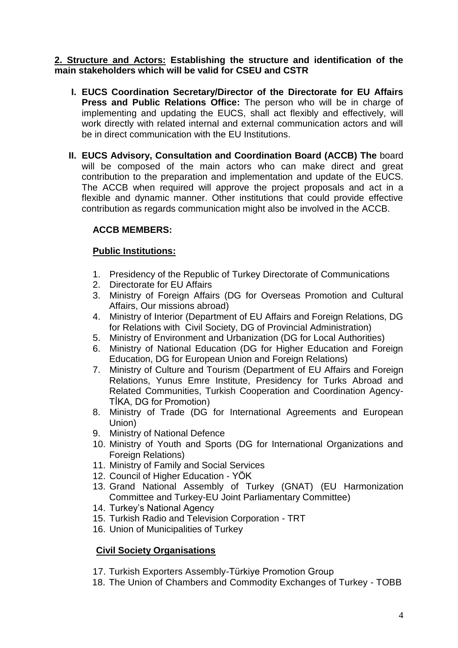#### **2. Structure and Actors: Establishing the structure and identification of the main stakeholders which will be valid for CSEU and CSTR**

- **I. EUCS Coordination Secretary/Director of the Directorate for EU Affairs Press and Public Relations Office:** The person who will be in charge of implementing and updating the EUCS, shall act flexibly and effectively, will work directly with related internal and external communication actors and will be in direct communication with the EU Institutions.
- **II. EUCS Advisory, Consultation and Coordination Board (ACCB) The** board will be composed of the main actors who can make direct and great contribution to the preparation and implementation and update of the EUCS. The ACCB when required will approve the project proposals and act in a flexible and dynamic manner. Other institutions that could provide effective contribution as regards communication might also be involved in the ACCB.

# **ACCB MEMBERS:**

## **Public Institutions:**

- 1. Presidency of the Republic of Turkey Directorate of Communications
- 2. Directorate for EU Affairs
- 3. Ministry of Foreign Affairs (DG for Overseas Promotion and Cultural Affairs, Our missions abroad)
- 4. Ministry of Interior (Department of EU Affairs and Foreign Relations, DG for Relations with Civil Society, DG of Provincial Administration)
- 5. Ministry of Environment and Urbanization (DG for Local Authorities)
- 6. Ministry of National Education (DG for Higher Education and Foreign Education, DG for European Union and Foreign Relations)
- 7. Ministry of Culture and Tourism (Department of EU Affairs and Foreign Relations, Yunus Emre Institute, Presidency for Turks Abroad and Related Communities, Turkish Cooperation and Coordination Agency-TİKA, DG for Promotion)
- 8. Ministry of Trade (DG for International Agreements and European Union)
- 9. Ministry of National Defence
- 10. Ministry of Youth and Sports (DG for International Organizations and Foreign Relations)
- 11. Ministry of Family and Social Services
- 12. Council of Higher Education YÖK
- 13. Grand National Assembly of Turkey (GNAT) (EU Harmonization Committee and Turkey-EU Joint Parliamentary Committee)
- 14. Turkey's National Agency
- 15. Turkish Radio and Television Corporation TRT
- 16. Union of Municipalities of Turkey

## **Civil Society Organisations**

- 17. Turkish Exporters Assembly-Türkiye Promotion Group
- 18. The Union of Chambers and Commodity Exchanges of Turkey TOBB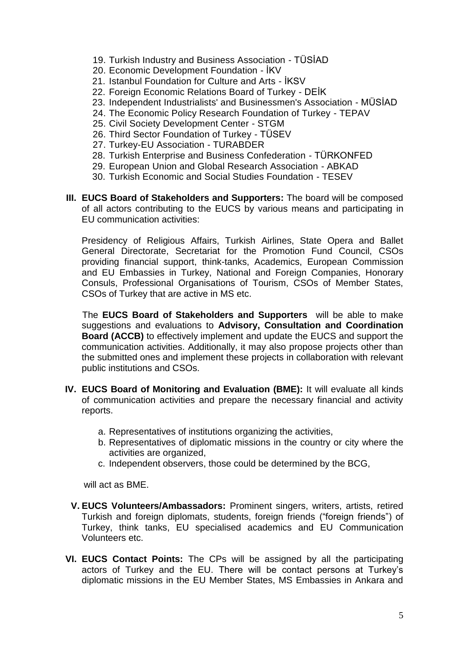- 19. Turkish Industry and Business Association TÜSİAD
- 20. Economic Development Foundation İKV
- 21. Istanbul Foundation for Culture and Arts İKSV
- 22. Foreign Economic Relations Board of Turkey DEİK
- 23. Independent Industrialists' and Businessmen's Association MÜSİAD
- 24. The Economic Policy Research Foundation of Turkey TEPAV
- 25. Civil Society Development Center STGM
- 26. Third Sector Foundation of Turkey TÜSEV
- 27. Turkey-EU Association TURABDER
- 28. Turkish Enterprise and Business Confederation TÜRKONFED
- 29. European Union and Global Research Association ABKAD
- 30. Turkish Economic and Social Studies Foundation TESEV
- **III. EUCS Board of Stakeholders and Supporters:** The board will be composed of all actors contributing to the EUCS by various means and participating in EU communication activities:

Presidency of Religious Affairs, Turkish Airlines, State Opera and Ballet General Directorate, Secretariat for the Promotion Fund Council, CSOs providing financial support, think-tanks, Academics, European Commission and EU Embassies in Turkey, National and Foreign Companies, Honorary Consuls, Professional Organisations of Tourism, CSOs of Member States, CSOs of Turkey that are active in MS etc.

The **EUCS Board of Stakeholders and Supporters** will be able to make suggestions and evaluations to **Advisory, Consultation and Coordination Board (ACCB)** to effectively implement and update the EUCS and support the communication activities. Additionally, it may also propose projects other than the submitted ones and implement these projects in collaboration with relevant public institutions and CSOs.

- **IV. EUCS Board of Monitoring and Evaluation (BME):** It will evaluate all kinds of communication activities and prepare the necessary financial and activity reports.
	- a. Representatives of institutions organizing the activities,
	- b. Representatives of diplomatic missions in the country or city where the activities are organized,
	- c. Independent observers, those could be determined by the BCG,

will act as BME.

- **V. EUCS Volunteers/Ambassadors:** Prominent singers, writers, artists, retired Turkish and foreign diplomats, students, foreign friends ("foreign friends") of Turkey, think tanks, EU specialised academics and EU Communication Volunteers etc.
- **VI. EUCS Contact Points:** The CPs will be assigned by all the participating actors of Turkey and the EU. There will be contact persons at Turkey's diplomatic missions in the EU Member States, MS Embassies in Ankara and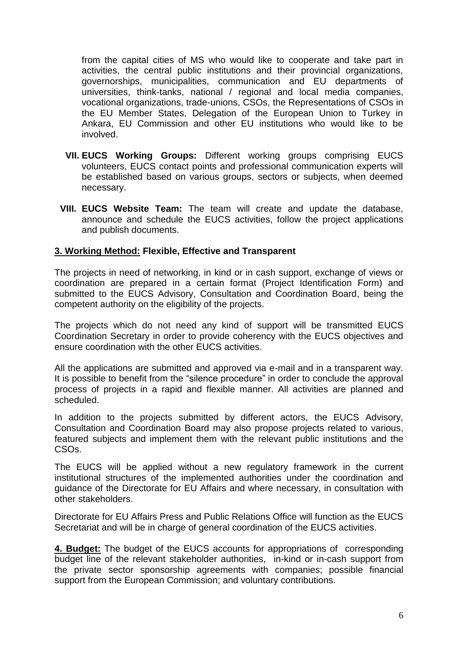from the capital cities of MS who would like to cooperate and take part in activities, the central public institutions and their provincial organizations, governorships, municipalities, communication and EU departments of universities, think-tanks, national / regional and local media companies, vocational organizations, trade-unions, CSOs, the Representations of CSOs in the EU Member States, Delegation of the European Union to Turkey in Ankara, EU Commission and other EU institutions who would like to be involved.

- **VII. EUCS Working Groups:** Different working groups comprising EUCS volunteers, EUCS contact points and professional communication experts will be established based on various groups, sectors or subjects, when deemed necessary.
- **VIII. EUCS Website Team:** The team will create and update the database, announce and schedule the EUCS activities, follow the project applications and publish documents.

#### **3. Working Method: Flexible, Effective and Transparent**

The projects in need of networking, in kind or in cash support, exchange of views or coordination are prepared in a certain format (Project Identification Form) and submitted to the EUCS Advisory, Consultation and Coordination Board, being the competent authority on the eligibility of the projects.

The projects which do not need any kind of support will be transmitted EUCS Coordination Secretary in order to provide coherency with the EUCS objectives and ensure coordination with the other EUCS activities.

All the applications are submitted and approved via e-mail and in a transparent way. It is possible to benefit from the "silence procedure" in order to conclude the approval process of projects in a rapid and flexible manner. All activities are planned and scheduled.

In addition to the projects submitted by different actors, the EUCS Advisory, Consultation and Coordination Board may also propose projects related to various, featured subjects and implement them with the relevant public institutions and the CSOs.

The EUCS will be applied without a new regulatory framework in the current institutional structures of the implemented authorities under the coordination and guidance of the Directorate for EU Affairs and where necessary, in consultation with other stakeholders.

Directorate for EU Affairs Press and Public Relations Office will function as the EUCS Secretariat and will be in charge of general coordination of the EUCS activities.

**4. Budget:** The budget of the EUCS accounts for appropriations of corresponding budget line of the relevant stakeholder authorities, in-kind or in-cash support from the private sector sponsorship agreements with companies; possible financial support from the European Commission; and voluntary contributions.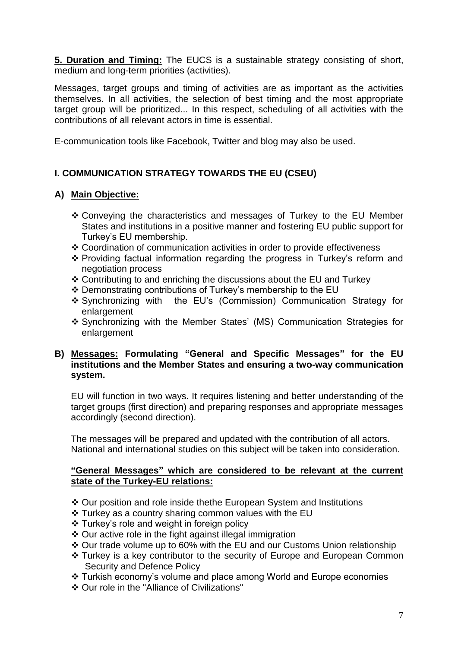**5. Duration and Timing:** The EUCS is a sustainable strategy consisting of short, medium and long-term priorities (activities).

Messages, target groups and timing of activities are as important as the activities themselves. In all activities, the selection of best timing and the most appropriate target group will be prioritized... In this respect, scheduling of all activities with the contributions of all relevant actors in time is essential.

E-communication tools like Facebook, Twitter and blog may also be used.

# **I. COMMUNICATION STRATEGY TOWARDS THE EU (CSEU)**

# **A) Main Objective:**

- Conveying the characteristics and messages of Turkey to the EU Member States and institutions in a positive manner and fostering EU public support for Turkey's EU membership.
- Coordination of communication activities in order to provide effectiveness
- Providing factual information regarding the progress in Turkey's reform and negotiation process
- Contributing to and enriching the discussions about the EU and Turkey
- Demonstrating contributions of Turkey's membership to the EU
- Synchronizing with the EU's (Commission) Communication Strategy for enlargement
- Synchronizing with the Member States' (MS) Communication Strategies for enlargement

#### **B) Messages: Formulating "General and Specific Messages" for the EU institutions and the Member States and ensuring a two-way communication system.**

EU will function in two ways. It requires listening and better understanding of the target groups (first direction) and preparing responses and appropriate messages accordingly (second direction).

The messages will be prepared and updated with the contribution of all actors. National and international studies on this subject will be taken into consideration.

#### **"General Messages" which are considered to be relevant at the current state of the Turkey-EU relations:**

- Our position and role inside thethe European System and Institutions
- $\div$  Turkey as a country sharing common values with the EU
- ❖ Turkey's role and weight in foreign policy
- Our active role in the fight against illegal immigration
- Our trade volume up to 60% with the EU and our Customs Union relationship
- Turkey is a key contributor to the security of Europe and European Common Security and Defence Policy
- Turkish economy's volume and place among World and Europe economies
- Our role in the "Alliance of Civilizations"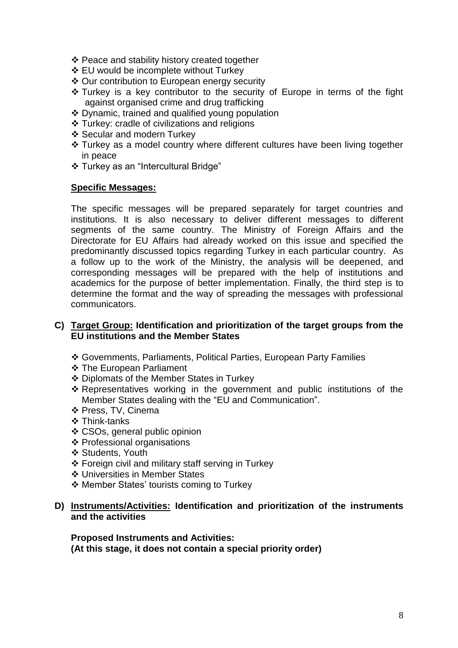- ❖ Peace and stability history created together
- EU would be incomplete without Turkey
- Our contribution to European energy security
- Turkey is a key contributor to the security of Europe in terms of the fight against organised crime and drug trafficking
- ❖ Dynamic, trained and qualified young population
- Turkey: cradle of civilizations and religions
- ❖ Secular and modern Turkey
- Turkey as a model country where different cultures have been living together in peace
- Turkey as an "Intercultural Bridge"

#### **Specific Messages:**

The specific messages will be prepared separately for target countries and institutions. It is also necessary to deliver different messages to different segments of the same country. The Ministry of Foreign Affairs and the Directorate for EU Affairs had already worked on this issue and specified the predominantly discussed topics regarding Turkey in each particular country. As a follow up to the work of the Ministry, the analysis will be deepened, and corresponding messages will be prepared with the help of institutions and academics for the purpose of better implementation. Finally, the third step is to determine the format and the way of spreading the messages with professional communicators.

#### **C) Target Group: Identification and prioritization of the target groups from the EU institutions and the Member States**

- Governments, Parliaments, Political Parties, European Party Families
- The European Parliament
- Diplomats of the Member States in Turkey
- \* Representatives working in the government and public institutions of the Member States dealing with the "EU and Communication".
- ❖ Press, TV, Cinema
- ❖ Think-tanks
- CSOs, general public opinion
- Professional organisations
- ❖ Students, Youth
- Foreign civil and military staff serving in Turkey
- Universities in Member States
- ❖ Member States' tourists coming to Turkey

#### **D) Instruments/Activities: Identification and prioritization of the instruments and the activities**

**Proposed Instruments and Activities: (At this stage, it does not contain a special priority order)**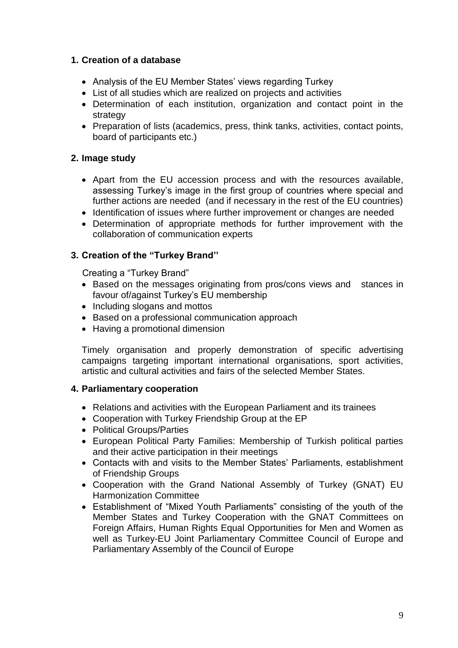## **1. Creation of a database**

- Analysis of the EU Member States' views regarding Turkey
- List of all studies which are realized on projects and activities
- Determination of each institution, organization and contact point in the strategy
- Preparation of lists (academics, press, think tanks, activities, contact points, board of participants etc.)

# **2. Image study**

- Apart from the EU accession process and with the resources available, assessing Turkey's image in the first group of countries where special and further actions are needed (and if necessary in the rest of the EU countries)
- Identification of issues where further improvement or changes are needed
- Determination of appropriate methods for further improvement with the collaboration of communication experts

# **3. Creation of the "Turkey Brand''**

Creating a "Turkey Brand"

- Based on the messages originating from pros/cons views and stances in favour of/against Turkey's EU membership
- Including slogans and mottos
- Based on a professional communication approach
- Having a promotional dimension

Timely organisation and properly demonstration of specific advertising campaigns targeting important international organisations, sport activities, artistic and cultural activities and fairs of the selected Member States.

## **4. Parliamentary cooperation**

- Relations and activities with the European Parliament and its trainees
- Cooperation with Turkey Friendship Group at the EP
- Political Groups/Parties
- European Political Party Families: Membership of Turkish political parties and their active participation in their meetings
- Contacts with and visits to the Member States' Parliaments, establishment of Friendship Groups
- Cooperation with the Grand National Assembly of Turkey (GNAT) EU Harmonization Committee
- Establishment of "Mixed Youth Parliaments" consisting of the youth of the Member States and Turkey Cooperation with the GNAT Committees on Foreign Affairs, Human Rights Equal Opportunities for Men and Women as well as Turkey-EU Joint Parliamentary Committee Council of Europe and Parliamentary Assembly of the Council of Europe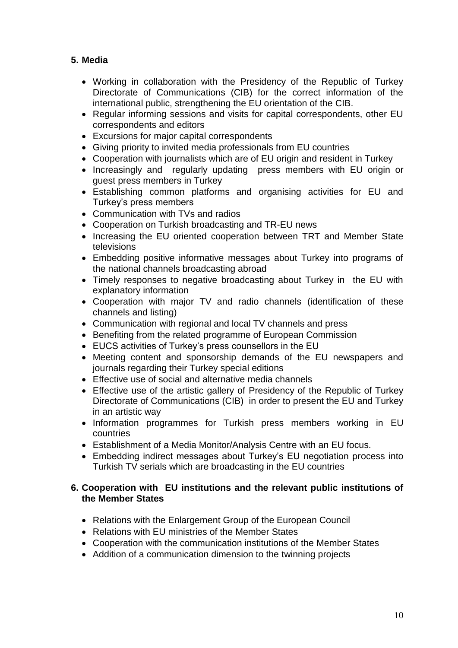# **5. Media**

- Working in collaboration with the Presidency of the Republic of Turkey Directorate of Communications (CIB) for the correct information of the international public, strengthening the EU orientation of the CIB.
- Regular informing sessions and visits for capital correspondents, other EU correspondents and editors
- Excursions for major capital correspondents
- Giving priority to invited media professionals from EU countries
- Cooperation with journalists which are of EU origin and resident in Turkey
- Increasingly and regularly updating press members with EU origin or guest press members in Turkey
- Establishing common platforms and organising activities for EU and Turkey's press members
- Communication with TVs and radios
- Cooperation on Turkish broadcasting and TR-EU news
- Increasing the EU oriented cooperation between TRT and Member State televisions
- Embedding positive informative messages about Turkey into programs of the national channels broadcasting abroad
- Timely responses to negative broadcasting about Turkey in the EU with explanatory information
- Cooperation with major TV and radio channels (identification of these channels and listing)
- Communication with regional and local TV channels and press
- Benefiting from the related programme of European Commission
- EUCS activities of Turkey's press counsellors in the EU
- Meeting content and sponsorship demands of the EU newspapers and journals regarding their Turkey special editions
- Effective use of social and alternative media channels
- Effective use of the artistic gallery of Presidency of the Republic of Turkey Directorate of Communications (CIB) in order to present the EU and Turkey in an artistic way
- Information programmes for Turkish press members working in EU countries
- Establishment of a Media Monitor/Analysis Centre with an EU focus.
- Embedding indirect messages about Turkey's EU negotiation process into Turkish TV serials which are broadcasting in the EU countries

#### **6. Cooperation with EU institutions and the relevant public institutions of the Member States**

- Relations with the Enlargement Group of the European Council
- Relations with EU ministries of the Member States
- Cooperation with the communication institutions of the Member States
- Addition of a communication dimension to the twinning projects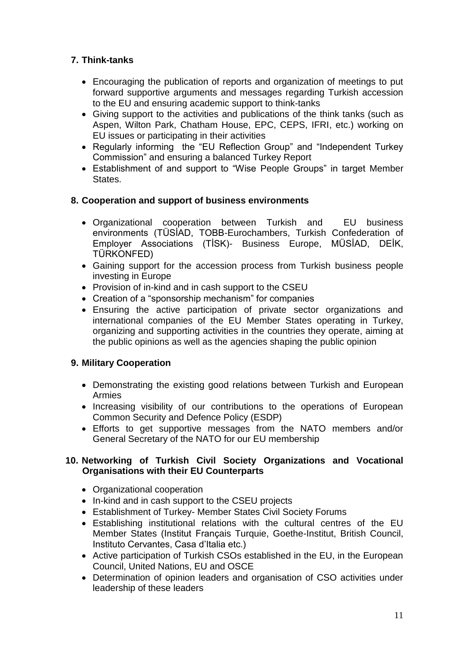# **7. Think-tanks**

- Encouraging the publication of reports and organization of meetings to put forward supportive arguments and messages regarding Turkish accession to the EU and ensuring academic support to think-tanks
- Giving support to the activities and publications of the think tanks (such as Aspen, Wilton Park, Chatham House, EPC, CEPS, IFRI, etc.) working on EU issues or participating in their activities
- Regularly informing the "EU Reflection Group" and "Independent Turkey Commission" and ensuring a balanced Turkey Report
- Establishment of and support to "Wise People Groups" in target Member States.

# **8. Cooperation and support of business environments**

- Organizational cooperation between Turkish and EU business environments (TÜSİAD, TOBB-Eurochambers, Turkish Confederation of Employer Associations (TİSK)- Business Europe, MÜSİAD, DEİK, TÜRKONFED)
- Gaining support for the accession process from Turkish business people investing in Europe
- Provision of in-kind and in cash support to the CSEU
- Creation of a "sponsorship mechanism" for companies
- Ensuring the active participation of private sector organizations and international companies of the EU Member States operating in Turkey, organizing and supporting activities in the countries they operate, aiming at the public opinions as well as the agencies shaping the public opinion

## **9. Military Cooperation**

- Demonstrating the existing good relations between Turkish and European Armies
- Increasing visibility of our contributions to the operations of European Common Security and Defence Policy (ESDP)
- Efforts to get supportive messages from the NATO members and/or General Secretary of the NATO for our EU membership

## **10. Networking of Turkish Civil Society Organizations and Vocational Organisations with their EU Counterparts**

- Organizational cooperation
- In-kind and in cash support to the CSEU projects
- Establishment of Turkey- Member States Civil Society Forums
- Establishing institutional relations with the cultural centres of the EU Member States (Institut Français Turquie, Goethe-Institut, British Council, Instituto Cervantes, Casa d'Italia etc.)
- Active participation of Turkish CSOs established in the EU, in the European Council, United Nations, EU and OSCE
- Determination of opinion leaders and organisation of CSO activities under leadership of these leaders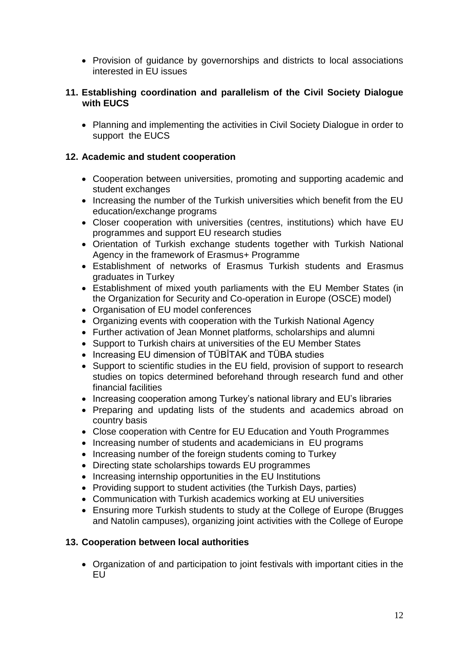• Provision of guidance by governorships and districts to local associations interested in EU issues

#### **11. Establishing coordination and parallelism of the Civil Society Dialogue with EUCS**

 Planning and implementing the activities in Civil Society Dialogue in order to support the EUCS

#### **12. Academic and student cooperation**

- Cooperation between universities, promoting and supporting academic and student exchanges
- Increasing the number of the Turkish universities which benefit from the EU education/exchange programs
- Closer cooperation with universities (centres, institutions) which have EU programmes and support EU research studies
- Orientation of Turkish exchange students together with Turkish National Agency in the framework of Erasmus+ Programme
- Establishment of networks of Erasmus Turkish students and Erasmus graduates in Turkey
- Establishment of mixed youth parliaments with the EU Member States (in the Organization for Security and Co-operation in Europe (OSCE) model)
- Organisation of EU model conferences
- Organizing events with cooperation with the Turkish National Agency
- Further activation of Jean Monnet platforms, scholarships and alumni
- Support to Turkish chairs at universities of the EU Member States
- Increasing EU dimension of TÜBİTAK and TÜBA studies
- Support to scientific studies in the EU field, provision of support to research studies on topics determined beforehand through research fund and other financial facilities
- Increasing cooperation among Turkey's national library and EU's libraries
- Preparing and updating lists of the students and academics abroad on country basis
- Close cooperation with Centre for EU Education and Youth Programmes
- Increasing number of students and academicians in EU programs
- Increasing number of the foreign students coming to Turkey
- Directing state scholarships towards EU programmes
- Increasing internship opportunities in the EU Institutions
- Providing support to student activities (the Turkish Days, parties)
- Communication with Turkish academics working at EU universities
- Ensuring more Turkish students to study at the College of Europe (Brugges and Natolin campuses), organizing joint activities with the College of Europe

#### **13. Cooperation between local authorities**

 Organization of and participation to joint festivals with important cities in the EU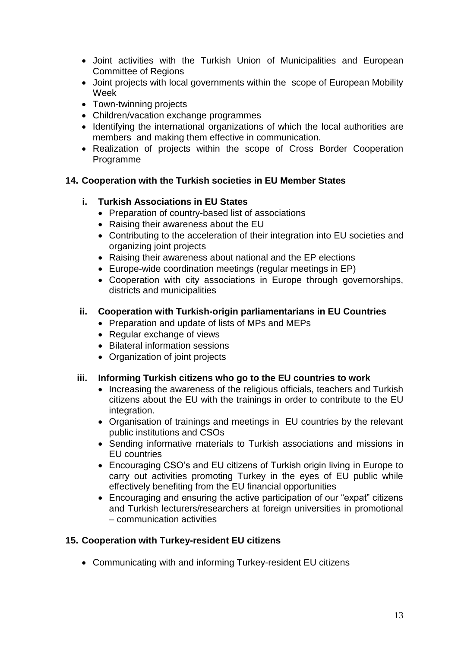- Joint activities with the Turkish Union of Municipalities and European Committee of Regions
- Joint projects with local governments within the scope of European Mobility Week
- Town-twinning projects
- Children/vacation exchange programmes
- Identifying the international organizations of which the local authorities are members and making them effective in communication.
- Realization of projects within the scope of Cross Border Cooperation Programme

## **14. Cooperation with the Turkish societies in EU Member States**

# **i. Turkish Associations in EU States**

- Preparation of country-based list of associations
- Raising their awareness about the EU
- Contributing to the acceleration of their integration into EU societies and organizing joint projects
- Raising their awareness about national and the EP elections
- Europe-wide coordination meetings (regular meetings in EP)
- Cooperation with city associations in Europe through governorships, districts and municipalities

# **ii. Cooperation with Turkish-origin parliamentarians in EU Countries**

- Preparation and update of lists of MPs and MEPs
- Regular exchange of views
- Bilateral information sessions
- Organization of joint projects

## **iii. Informing Turkish citizens who go to the EU countries to work**

- Increasing the awareness of the religious officials, teachers and Turkish citizens about the EU with the trainings in order to contribute to the EU integration.
- Organisation of trainings and meetings in EU countries by the relevant public institutions and CSOs
- Sending informative materials to Turkish associations and missions in EU countries
- Encouraging CSO's and EU citizens of Turkish origin living in Europe to carry out activities promoting Turkey in the eyes of EU public while effectively benefiting from the EU financial opportunities
- Encouraging and ensuring the active participation of our "expat" citizens and Turkish lecturers/researchers at foreign universities in promotional – communication activities

## **15. Cooperation with Turkey-resident EU citizens**

Communicating with and informing Turkey-resident EU citizens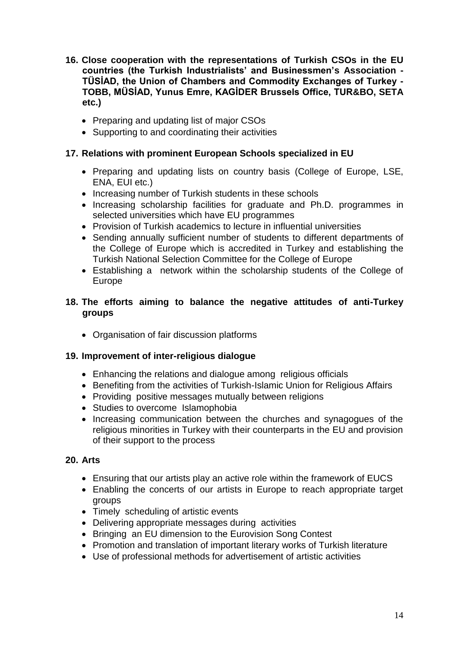- **16. Close cooperation with the representations of Turkish CSOs in the EU countries (the Turkish Industrialists' and Businessmen's Association - TÜSİAD, the Union of Chambers and Commodity Exchanges of Turkey - TOBB, MÜSİAD, Yunus Emre, KAGİDER Brussels Office, TUR&BO, SETA etc.)**
	- Preparing and updating list of major CSOs
	- Supporting to and coordinating their activities

## **17. Relations with prominent European Schools specialized in EU**

- Preparing and updating lists on country basis (College of Europe, LSE, ENA, EUI etc.)
- Increasing number of Turkish students in these schools
- Increasing scholarship facilities for graduate and Ph.D. programmes in selected universities which have EU programmes
- Provision of Turkish academics to lecture in influential universities
- Sending annually sufficient number of students to different departments of the College of Europe which is accredited in Turkey and establishing the Turkish National Selection Committee for the College of Europe
- Establishing a network within the scholarship students of the College of Europe

## **18. The efforts aiming to balance the negative attitudes of anti-Turkey groups**

Organisation of fair discussion platforms

#### **19. Improvement of inter-religious dialogue**

- Enhancing the relations and dialogue among religious officials
- Benefiting from the activities of Turkish-Islamic Union for Religious Affairs
- Providing positive messages mutually between religions
- Studies to overcome Islamophobia
- Increasing communication between the churches and synagogues of the religious minorities in Turkey with their counterparts in the EU and provision of their support to the process

#### **20. Arts**

- Ensuring that our artists play an active role within the framework of EUCS
- Enabling the concerts of our artists in Europe to reach appropriate target groups
- Timely scheduling of artistic events
- Delivering appropriate messages during activities
- Bringing an EU dimension to the Eurovision Song Contest
- Promotion and translation of important literary works of Turkish literature
- Use of professional methods for advertisement of artistic activities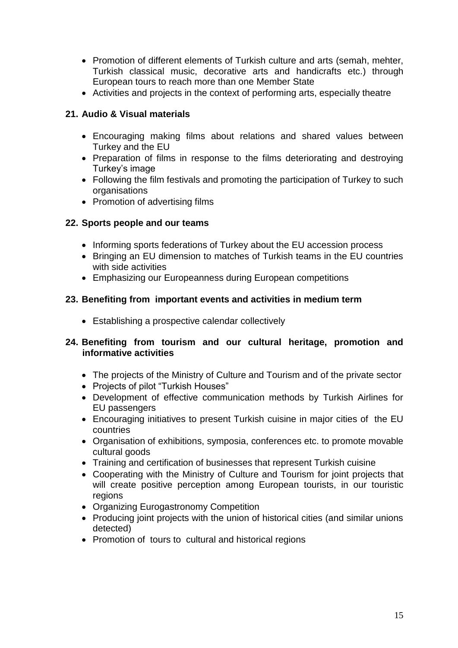- Promotion of different elements of Turkish culture and arts (semah, mehter, Turkish classical music, decorative arts and handicrafts etc.) through European tours to reach more than one Member State
- Activities and projects in the context of performing arts, especially theatre

## **21. Audio & Visual materials**

- Encouraging making films about relations and shared values between Turkey and the EU
- Preparation of films in response to the films deteriorating and destroving Turkey's image
- Following the film festivals and promoting the participation of Turkey to such organisations
- Promotion of advertising films

## **22. Sports people and our teams**

- Informing sports federations of Turkey about the EU accession process
- Bringing an EU dimension to matches of Turkish teams in the EU countries with side activities
- Emphasizing our Europeanness during European competitions

## **23. Benefiting from important events and activities in medium term**

• Establishing a prospective calendar collectively

## **24. Benefiting from tourism and our cultural heritage, promotion and informative activities**

- The projects of the Ministry of Culture and Tourism and of the private sector
- Projects of pilot "Turkish Houses"
- Development of effective communication methods by Turkish Airlines for EU passengers
- Encouraging initiatives to present Turkish cuisine in major cities of the EU countries
- Organisation of exhibitions, symposia, conferences etc. to promote movable cultural goods
- Training and certification of businesses that represent Turkish cuisine
- Cooperating with the Ministry of Culture and Tourism for joint projects that will create positive perception among European tourists, in our touristic regions
- Organizing Eurogastronomy Competition
- Producing joint projects with the union of historical cities (and similar unions detected)
- Promotion of tours to cultural and historical regions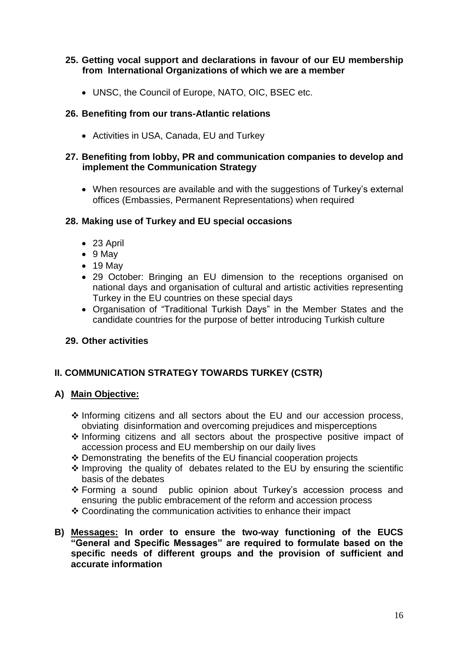## **25. Getting vocal support and declarations in favour of our EU membership from International Organizations of which we are a member**

UNSC, the Council of Europe, NATO, OIC, BSEC etc.

#### **26. Benefiting from our trans-Atlantic relations**

Activities in USA, Canada, EU and Turkey

#### **27. Benefiting from lobby, PR and communication companies to develop and implement the Communication Strategy**

 When resources are available and with the suggestions of Turkey's external offices (Embassies, Permanent Representations) when required

#### **28. Making use of Turkey and EU special occasions**

- 23 April
- $\bullet$  9 May
- 19 May
- 29 October: Bringing an EU dimension to the receptions organised on national days and organisation of cultural and artistic activities representing Turkey in the EU countries on these special days
- Organisation of "Traditional Turkish Days" in the Member States and the candidate countries for the purpose of better introducing Turkish culture

#### **29. Other activities**

## **II. COMMUNICATION STRATEGY TOWARDS TURKEY (CSTR)**

#### **A) Main Objective:**

- $\triangle$  Informing citizens and all sectors about the EU and our accession process, obviating disinformation and overcoming prejudices and misperceptions
- $\triangle$  Informing citizens and all sectors about the prospective positive impact of accession process and EU membership on our daily lives
- Demonstrating the benefits of the EU financial cooperation projects
- $\triangle$  Improving the quality of debates related to the EU by ensuring the scientific basis of the debates
- Forming a sound public opinion about Turkey's accession process and ensuring the public embracement of the reform and accession process
- Coordinating the communication activities to enhance their impact
- **B) Messages: In order to ensure the two-way functioning of the EUCS "General and Specific Messages" are required to formulate based on the specific needs of different groups and the provision of sufficient and accurate information**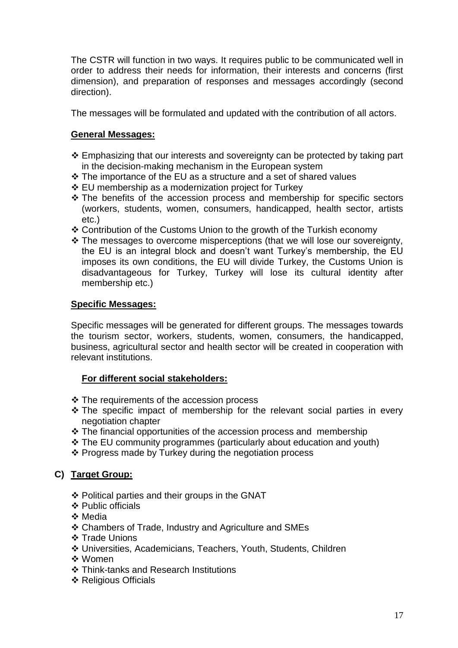The CSTR will function in two ways. It requires public to be communicated well in order to address their needs for information, their interests and concerns (first dimension), and preparation of responses and messages accordingly (second direction).

The messages will be formulated and updated with the contribution of all actors.

## **General Messages:**

- ❖ Emphasizing that our interests and sovereignty can be protected by taking part in the decision-making mechanism in the European system
- The importance of the EU as a structure and a set of shared values
- EU membership as a modernization project for Turkey
- $\div$  The benefits of the accession process and membership for specific sectors (workers, students, women, consumers, handicapped, health sector, artists etc.)
- Contribution of the Customs Union to the growth of the Turkish economy
- \* The messages to overcome misperceptions (that we will lose our sovereignty, the EU is an integral block and doesn't want Turkey's membership, the EU imposes its own conditions, the EU will divide Turkey, the Customs Union is disadvantageous for Turkey, Turkey will lose its cultural identity after membership etc.)

#### **Specific Messages:**

Specific messages will be generated for different groups. The messages towards the tourism sector, workers, students, women, consumers, the handicapped, business, agricultural sector and health sector will be created in cooperation with relevant institutions.

#### **For different social stakeholders:**

- ❖ The requirements of the accession process
- $\cdot$  The specific impact of membership for the relevant social parties in every negotiation chapter
- The financial opportunities of the accession process and membership
- The EU community programmes (particularly about education and youth)
- Progress made by Turkey during the negotiation process

#### **C) Target Group:**

- Political parties and their groups in the GNAT
- ❖ Public officials
- **❖** Media
- Chambers of Trade, Industry and Agriculture and SMEs
- ❖ Trade Unions
- Universities, Academicians, Teachers, Youth, Students, Children
- ❖ Women
- Think-tanks and Research Institutions
- ❖ Religious Officials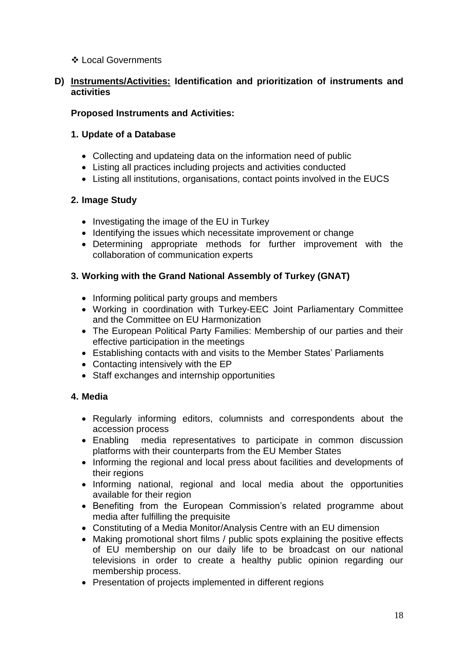## Local Governments

## **D) Instruments/Activities: Identification and prioritization of instruments and activities**

## **Proposed Instruments and Activities:**

## **1. Update of a Database**

- Collecting and updateing data on the information need of public
- Listing all practices including projects and activities conducted
- Listing all institutions, organisations, contact points involved in the EUCS

# **2. Image Study**

- Investigating the image of the EU in Turkey
- Identifying the issues which necessitate improvement or change
- Determining appropriate methods for further improvement with the collaboration of communication experts

# **3. Working with the Grand National Assembly of Turkey (GNAT)**

- Informing political party groups and members
- Working in coordination with Turkey-EEC Joint Parliamentary Committee and the Committee on EU Harmonization
- The European Political Party Families: Membership of our parties and their effective participation in the meetings
- Establishing contacts with and visits to the Member States' Parliaments
- Contacting intensively with the EP
- Staff exchanges and internship opportunities

# **4. Media**

- Regularly informing editors, columnists and correspondents about the accession process
- Enabling media representatives to participate in common discussion platforms with their counterparts from the EU Member States
- Informing the regional and local press about facilities and developments of their regions
- Informing national, regional and local media about the opportunities available for their region
- Benefiting from the European Commission's related programme about media after fulfilling the prequisite
- Constituting of a Media Monitor/Analysis Centre with an EU dimension
- Making promotional short films / public spots explaining the positive effects of EU membership on our daily life to be broadcast on our national televisions in order to create a healthy public opinion regarding our membership process.
- Presentation of projects implemented in different regions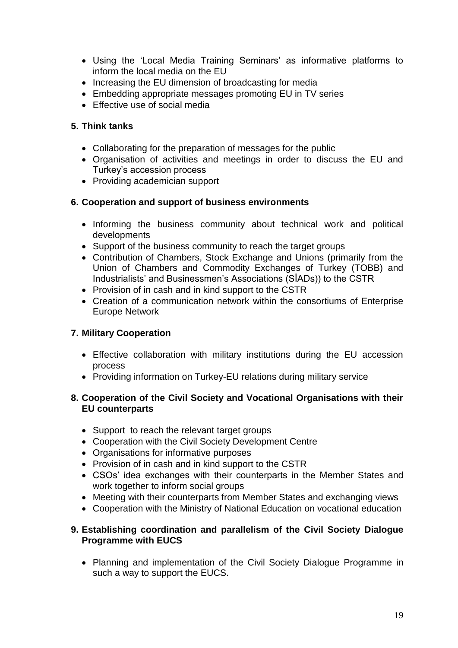- Using the 'Local Media Training Seminars' as informative platforms to inform the local media on the EU
- Increasing the EU dimension of broadcasting for media
- Embedding appropriate messages promoting EU in TV series
- Effective use of social media

## **5. Think tanks**

- Collaborating for the preparation of messages for the public
- Organisation of activities and meetings in order to discuss the EU and Turkey's accession process
- Providing academician support

## **6. Cooperation and support of business environments**

- Informing the business community about technical work and political developments
- Support of the business community to reach the target groups
- Contribution of Chambers, Stock Exchange and Unions (primarily from the Union of Chambers and Commodity Exchanges of Turkey (TOBB) and Industrialists' and Businessmen's Associations (SİADs)) to the CSTR
- Provision of in cash and in kind support to the CSTR
- Creation of a communication network within the consortiums of Enterprise Europe Network

## **7. Military Cooperation**

- Effective collaboration with military institutions during the EU accession process
- Providing information on Turkey-EU relations during military service

## **8. Cooperation of the Civil Society and Vocational Organisations with their EU counterparts**

- Support to reach the relevant target groups
- Cooperation with the Civil Society Development Centre
- Organisations for informative purposes
- Provision of in cash and in kind support to the CSTR
- CSOs' idea exchanges with their counterparts in the Member States and work together to inform social groups
- Meeting with their counterparts from Member States and exchanging views
- Cooperation with the Ministry of National Education on vocational education

#### **9. Establishing coordination and parallelism of the Civil Society Dialogue Programme with EUCS**

• Planning and implementation of the Civil Society Dialogue Programme in such a way to support the EUCS.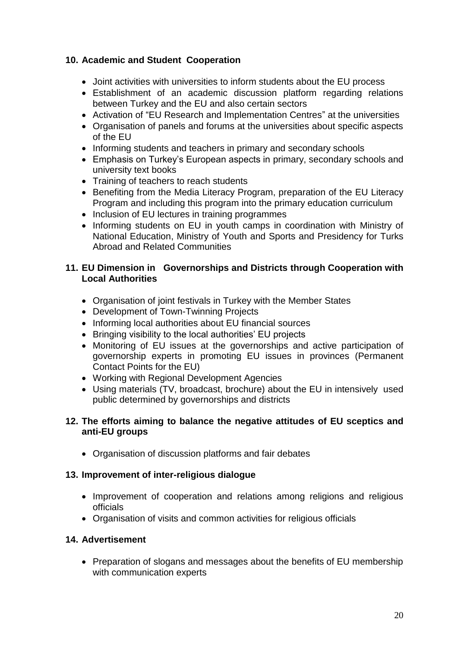# **10. Academic and Student Cooperation**

- Joint activities with universities to inform students about the EU process
- Establishment of an academic discussion platform regarding relations between Turkey and the EU and also certain sectors
- Activation of "EU Research and Implementation Centres" at the universities
- Organisation of panels and forums at the universities about specific aspects of the EU
- Informing students and teachers in primary and secondary schools
- Emphasis on Turkey's European aspects in primary, secondary schools and university text books
- Training of teachers to reach students
- Benefiting from the Media Literacy Program, preparation of the EU Literacy Program and including this program into the primary education curriculum
- Inclusion of EU lectures in training programmes
- Informing students on EU in youth camps in coordination with Ministry of National Education, Ministry of Youth and Sports and Presidency for Turks Abroad and Related Communities

#### **11. EU Dimension in Governorships and Districts through Cooperation with Local Authorities**

- Organisation of joint festivals in Turkey with the Member States
- Development of Town-Twinning Projects
- Informing local authorities about EU financial sources
- Bringing visibility to the local authorities' EU projects
- Monitoring of EU issues at the governorships and active participation of governorship experts in promoting EU issues in provinces (Permanent Contact Points for the EU)
- Working with Regional Development Agencies
- Using materials (TV, broadcast, brochure) about the EU in intensively used public determined by governorships and districts

#### **12. The efforts aiming to balance the negative attitudes of EU sceptics and anti-EU groups**

• Organisation of discussion platforms and fair debates

#### **13. Improvement of inter-religious dialogue**

- Improvement of cooperation and relations among religions and religious officials
- Organisation of visits and common activities for religious officials

#### **14. Advertisement**

• Preparation of slogans and messages about the benefits of EU membership with communication experts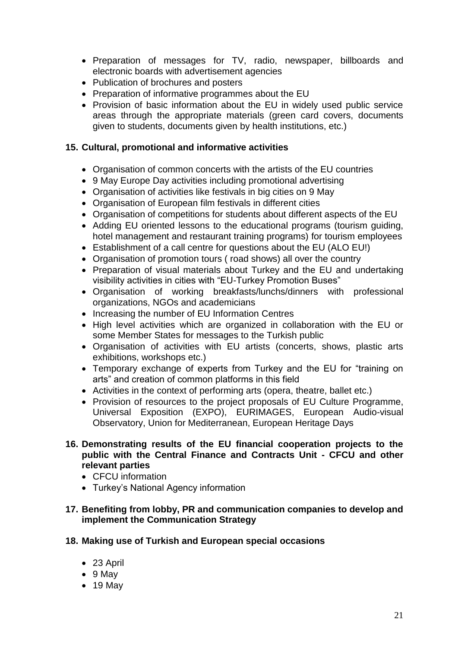- Preparation of messages for TV, radio, newspaper, billboards and electronic boards with advertisement agencies
- Publication of brochures and posters
- Preparation of informative programmes about the EU
- Provision of basic information about the EU in widely used public service areas through the appropriate materials (green card covers, documents given to students, documents given by health institutions, etc.)

## **15. Cultural, promotional and informative activities**

- Organisation of common concerts with the artists of the EU countries
- 9 May Europe Day activities including promotional advertising
- Organisation of activities like festivals in big cities on 9 May
- Organisation of European film festivals in different cities
- Organisation of competitions for students about different aspects of the EU
- Adding EU oriented lessons to the educational programs (tourism guiding, hotel management and restaurant training programs) for tourism employees
- Establishment of a call centre for questions about the EU (ALO EU!)
- Organisation of promotion tours ( road shows) all over the country
- Preparation of visual materials about Turkey and the EU and undertaking visibility activities in cities with "EU-Turkey Promotion Buses"
- Organisation of working breakfasts/lunchs/dinners with professional organizations, NGOs and academicians
- Increasing the number of EU Information Centres
- High level activities which are organized in collaboration with the EU or some Member States for messages to the Turkish public
- Organisation of activities with EU artists (concerts, shows, plastic arts exhibitions, workshops etc.)
- Temporary exchange of experts from Turkey and the EU for "training on arts" and creation of common platforms in this field
- Activities in the context of performing arts (opera, theatre, ballet etc.)
- Provision of resources to the project proposals of EU Culture Programme, Universal Exposition (EXPO), EURIMAGES, European Audio-visual Observatory, Union for Mediterranean, European Heritage Days
- **16. Demonstrating results of the EU financial cooperation projects to the public with the Central Finance and Contracts Unit - CFCU and other relevant parties**
	- CFCU information
	- Turkey's National Agency information

#### **17. Benefiting from lobby, PR and communication companies to develop and implement the Communication Strategy**

- **18. Making use of Turkish and European special occasions** 
	- 23 April
	- $\bullet$  9 May
	- 19 May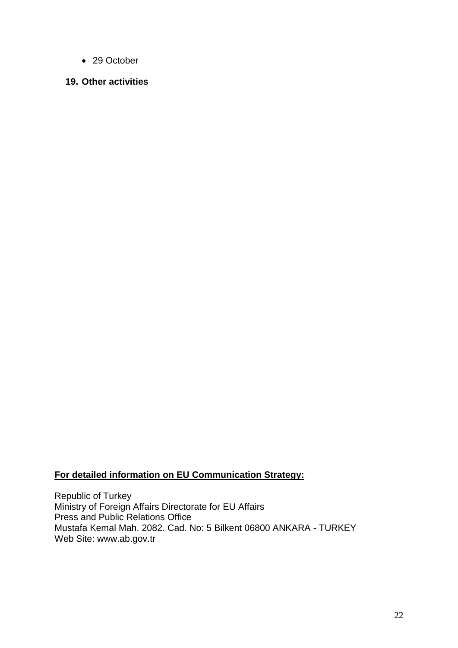- 29 October
- **19. Other activities**

## **For detailed information on EU Communication Strategy:**

Republic of Turkey Ministry of Foreign Affairs Directorate for EU Affairs Press and Public Relations Office Mustafa Kemal Mah. 2082. Cad. No: 5 Bilkent 06800 ANKARA - TURKEY Web Site: www.ab.gov.tr